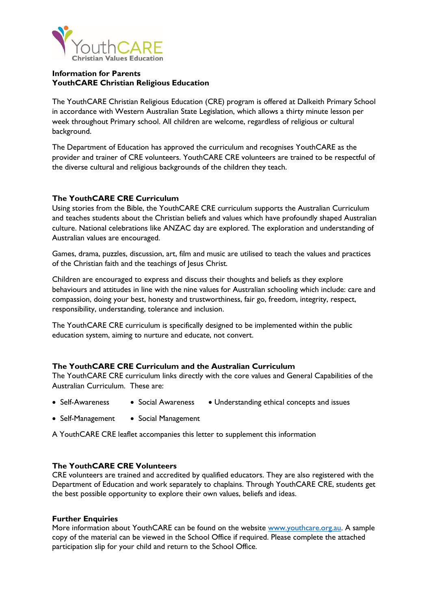

### **Information for Parents YouthCARE Christian Religious Education**

The YouthCARE Christian Religious Education (CRE) program is offered at Dalkeith Primary School in accordance with Western Australian State Legislation, which allows a thirty minute lesson per week throughout Primary school. All children are welcome, regardless of religious or cultural background.

The Department of Education has approved the curriculum and recognises YouthCARE as the provider and trainer of CRE volunteers. YouthCARE CRE volunteers are trained to be respectful of the diverse cultural and religious backgrounds of the children they teach.

## **The YouthCARE CRE Curriculum**

Using stories from the Bible, the YouthCARE CRE curriculum supports the Australian Curriculum and teaches students about the Christian beliefs and values which have profoundly shaped Australian culture. National celebrations like ANZAC day are explored. The exploration and understanding of Australian values are encouraged.

Games, drama, puzzles, discussion, art, film and music are utilised to teach the values and practices of the Christian faith and the teachings of Jesus Christ.

Children are encouraged to express and discuss their thoughts and beliefs as they explore behaviours and attitudes in line with the nine values for Australian schooling which include: care and compassion, doing your best, honesty and trustworthiness, fair go, freedom, integrity, respect, responsibility, understanding, tolerance and inclusion.

The YouthCARE CRE curriculum is specifically designed to be implemented within the public education system, aiming to nurture and educate, not convert.

#### **The YouthCARE CRE Curriculum and the Australian Curriculum**

The YouthCARE CRE curriculum links directly with the core values and General Capabilities of the Australian Curriculum. These are:

- Self-Awareness Social Awareness Understanding ethical concepts and issues
- Self-Management Social Management

A YouthCARE CRE leaflet accompanies this letter to supplement this information

#### **The YouthCARE CRE Volunteers**

CRE volunteers are trained and accredited by qualified educators. They are also registered with the Department of Education and work separately to chaplains. Through YouthCARE CRE, students get the best possible opportunity to explore their own values, beliefs and ideas.

#### **Further Enquiries**

More information about YouthCARE can be found on the website [www.youthcare.org.au.](http://www.youthcare.org.au/) A sample copy of the material can be viewed in the School Office if required. Please complete the attached participation slip for your child and return to the School Office.